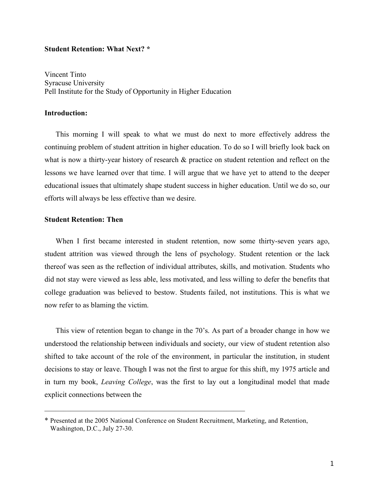## **Student Retention: What Next? \***

Vincent Tinto Syracuse University Pell Institute for the Study of Opportunity in Higher Education

# **Introduction:**

This morning I will speak to what we must do next to more effectively address the continuing problem of student attrition in higher education. To do so I will briefly look back on what is now a thirty-year history of research  $\&$  practice on student retention and reflect on the lessons we have learned over that time. I will argue that we have yet to attend to the deeper educational issues that ultimately shape student success in higher education. Until we do so, our efforts will always be less effective than we desire.

#### **Student Retention: Then**

When I first became interested in student retention, now some thirty-seven years ago, student attrition was viewed through the lens of psychology. Student retention or the lack thereof was seen as the reflection of individual attributes, skills, and motivation. Students who did not stay were viewed as less able, less motivated, and less willing to defer the benefits that college graduation was believed to bestow. Students failed, not institutions. This is what we now refer to as blaming the victim.

This view of retention began to change in the 70's. As part of a broader change in how we understood the relationship between individuals and society, our view of student retention also shifted to take account of the role of the environment, in particular the institution, in student decisions to stay or leave. Though I was not the first to argue for this shift, my 1975 article and in turn my book, *Leaving College*, was the first to lay out a longitudinal model that made explicit connections between the

 $\mathcal{L}_\text{max}$  , and the contract of the contract of the contract of the contract of the contract of the contract of

<sup>\*</sup> Presented at the 2005 National Conference on Student Recruitment, Marketing, and Retention, Washington, D.C., July 27-30.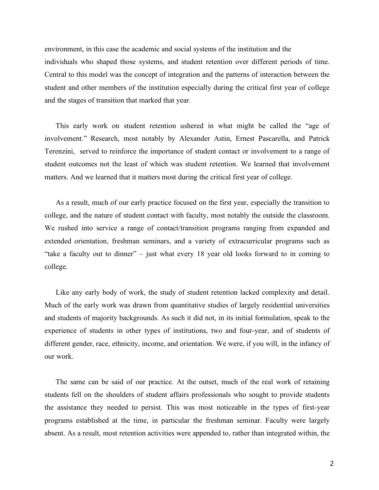environment, in this case the academic and social systems of the institution and the individuals who shaped those systems, and student retention over different periods of time. Central to this model was the concept of integration and the patterns of interaction between the student and other members of the institution especially during the critical first year of college and the stages of transition that marked that year.

This early work on student retention ushered in what might be called the "age of involvement." Research, most notably by Alexander Astin, Ernest Pascarella, and Patrick Terenzini, served to reinforce the importance of student contact or involvement to a range of student outcomes not the least of which was student retention. We learned that involvement matters. And we learned that it matters most during the critical first year of college.

As a result, much of our early practice focused on the first year, especially the transition to college, and the nature of student contact with faculty, most notably the outside the classroom. We rushed into service a range of contact/transition programs ranging from expanded and extended orientation, freshman seminars, and a variety of extracurricular programs such as "take a faculty out to dinner" – just what every 18 year old looks forward to in coming to college.

Like any early body of work, the study of student retention lacked complexity and detail. Much of the early work was drawn from quantitative studies of largely residential universities and students of majority backgrounds. As such it did not, in its initial formulation, speak to the experience of students in other types of institutions, two and four-year, and of students of different gender, race, ethnicity, income, and orientation. We were, if you will, in the infancy of our work.

The same can be said of our practice. At the outset, much of the real work of retaining students fell on the shoulders of student affairs professionals who sought to provide students the assistance they needed to persist. This was most noticeable in the types of first-year programs established at the time, in particular the freshman seminar. Faculty were largely absent. As a result, most retention activities were appended to, rather than integrated within, the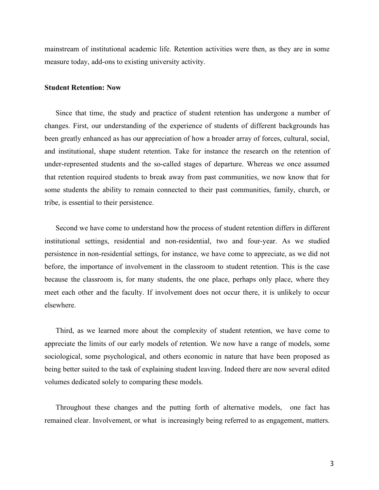mainstream of institutional academic life. Retention activities were then, as they are in some measure today, add-ons to existing university activity.

#### **Student Retention: Now**

Since that time, the study and practice of student retention has undergone a number of changes. First, our understanding of the experience of students of different backgrounds has been greatly enhanced as has our appreciation of how a broader array of forces, cultural, social, and institutional, shape student retention. Take for instance the research on the retention of under-represented students and the so-called stages of departure. Whereas we once assumed that retention required students to break away from past communities, we now know that for some students the ability to remain connected to their past communities, family, church, or tribe, is essential to their persistence.

Second we have come to understand how the process of student retention differs in different institutional settings, residential and non-residential, two and four-year. As we studied persistence in non-residential settings, for instance, we have come to appreciate, as we did not before, the importance of involvement in the classroom to student retention. This is the case because the classroom is, for many students, the one place, perhaps only place, where they meet each other and the faculty. If involvement does not occur there, it is unlikely to occur elsewhere.

Third, as we learned more about the complexity of student retention, we have come to appreciate the limits of our early models of retention. We now have a range of models, some sociological, some psychological, and others economic in nature that have been proposed as being better suited to the task of explaining student leaving. Indeed there are now several edited volumes dedicated solely to comparing these models.

Throughout these changes and the putting forth of alternative models, one fact has remained clear. Involvement, or what is increasingly being referred to as engagement, matters.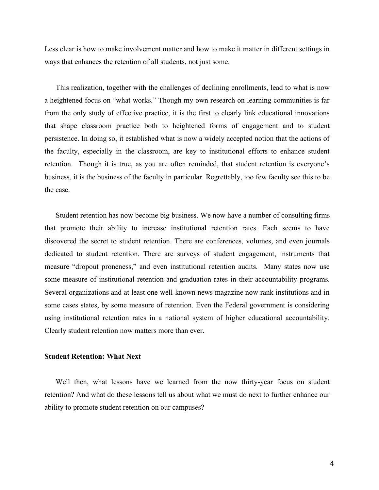Less clear is how to make involvement matter and how to make it matter in different settings in ways that enhances the retention of all students, not just some.

This realization, together with the challenges of declining enrollments, lead to what is now a heightened focus on "what works." Though my own research on learning communities is far from the only study of effective practice, it is the first to clearly link educational innovations that shape classroom practice both to heightened forms of engagement and to student persistence. In doing so, it established what is now a widely accepted notion that the actions of the faculty, especially in the classroom, are key to institutional efforts to enhance student retention. Though it is true, as you are often reminded, that student retention is everyone's business, it is the business of the faculty in particular. Regrettably, too few faculty see this to be the case.

Student retention has now become big business. We now have a number of consulting firms that promote their ability to increase institutional retention rates. Each seems to have discovered the secret to student retention. There are conferences, volumes, and even journals dedicated to student retention. There are surveys of student engagement, instruments that measure "dropout proneness," and even institutional retention audits. Many states now use some measure of institutional retention and graduation rates in their accountability programs. Several organizations and at least one well-known news magazine now rank institutions and in some cases states, by some measure of retention. Even the Federal government is considering using institutional retention rates in a national system of higher educational accountability. Clearly student retention now matters more than ever.

### **Student Retention: What Next**

Well then, what lessons have we learned from the now thirty-year focus on student retention? And what do these lessons tell us about what we must do next to further enhance our ability to promote student retention on our campuses?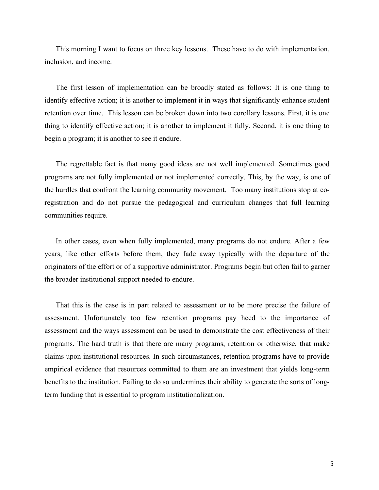This morning I want to focus on three key lessons. These have to do with implementation, inclusion, and income.

The first lesson of implementation can be broadly stated as follows: It is one thing to identify effective action; it is another to implement it in ways that significantly enhance student retention over time. This lesson can be broken down into two corollary lessons. First, it is one thing to identify effective action; it is another to implement it fully. Second, it is one thing to begin a program; it is another to see it endure.

The regrettable fact is that many good ideas are not well implemented. Sometimes good programs are not fully implemented or not implemented correctly. This, by the way, is one of the hurdles that confront the learning community movement. Too many institutions stop at coregistration and do not pursue the pedagogical and curriculum changes that full learning communities require.

In other cases, even when fully implemented, many programs do not endure. After a few years, like other efforts before them, they fade away typically with the departure of the originators of the effort or of a supportive administrator. Programs begin but often fail to garner the broader institutional support needed to endure.

That this is the case is in part related to assessment or to be more precise the failure of assessment. Unfortunately too few retention programs pay heed to the importance of assessment and the ways assessment can be used to demonstrate the cost effectiveness of their programs. The hard truth is that there are many programs, retention or otherwise, that make claims upon institutional resources. In such circumstances, retention programs have to provide empirical evidence that resources committed to them are an investment that yields long-term benefits to the institution. Failing to do so undermines their ability to generate the sorts of longterm funding that is essential to program institutionalization.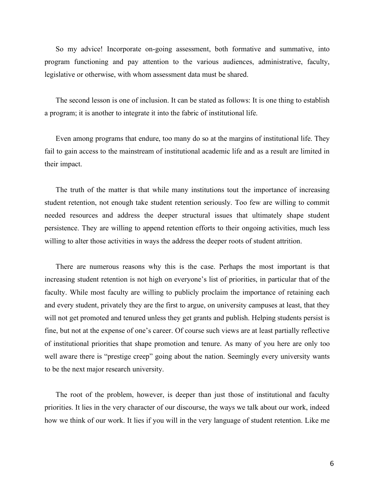So my advice! Incorporate on-going assessment, both formative and summative, into program functioning and pay attention to the various audiences, administrative, faculty, legislative or otherwise, with whom assessment data must be shared.

The second lesson is one of inclusion. It can be stated as follows: It is one thing to establish a program; it is another to integrate it into the fabric of institutional life.

Even among programs that endure, too many do so at the margins of institutional life. They fail to gain access to the mainstream of institutional academic life and as a result are limited in their impact.

The truth of the matter is that while many institutions tout the importance of increasing student retention, not enough take student retention seriously. Too few are willing to commit needed resources and address the deeper structural issues that ultimately shape student persistence. They are willing to append retention efforts to their ongoing activities, much less willing to alter those activities in ways the address the deeper roots of student attrition.

There are numerous reasons why this is the case. Perhaps the most important is that increasing student retention is not high on everyone's list of priorities, in particular that of the faculty. While most faculty are willing to publicly proclaim the importance of retaining each and every student, privately they are the first to argue, on university campuses at least, that they will not get promoted and tenured unless they get grants and publish. Helping students persist is fine, but not at the expense of one's career. Of course such views are at least partially reflective of institutional priorities that shape promotion and tenure. As many of you here are only too well aware there is "prestige creep" going about the nation. Seemingly every university wants to be the next major research university.

The root of the problem, however, is deeper than just those of institutional and faculty priorities. It lies in the very character of our discourse, the ways we talk about our work, indeed how we think of our work. It lies if you will in the very language of student retention. Like me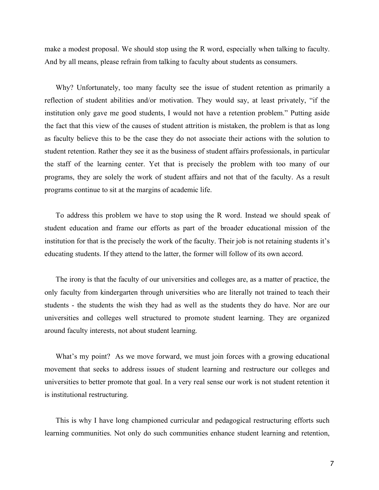make a modest proposal. We should stop using the R word, especially when talking to faculty. And by all means, please refrain from talking to faculty about students as consumers.

Why? Unfortunately, too many faculty see the issue of student retention as primarily a reflection of student abilities and/or motivation. They would say, at least privately, "if the institution only gave me good students, I would not have a retention problem." Putting aside the fact that this view of the causes of student attrition is mistaken, the problem is that as long as faculty believe this to be the case they do not associate their actions with the solution to student retention. Rather they see it as the business of student affairs professionals, in particular the staff of the learning center. Yet that is precisely the problem with too many of our programs, they are solely the work of student affairs and not that of the faculty. As a result programs continue to sit at the margins of academic life.

To address this problem we have to stop using the R word. Instead we should speak of student education and frame our efforts as part of the broader educational mission of the institution for that is the precisely the work of the faculty. Their job is not retaining students it's educating students. If they attend to the latter, the former will follow of its own accord.

The irony is that the faculty of our universities and colleges are, as a matter of practice, the only faculty from kindergarten through universities who are literally not trained to teach their students - the students the wish they had as well as the students they do have. Nor are our universities and colleges well structured to promote student learning. They are organized around faculty interests, not about student learning.

What's my point? As we move forward, we must join forces with a growing educational movement that seeks to address issues of student learning and restructure our colleges and universities to better promote that goal. In a very real sense our work is not student retention it is institutional restructuring.

This is why I have long championed curricular and pedagogical restructuring efforts such learning communities. Not only do such communities enhance student learning and retention,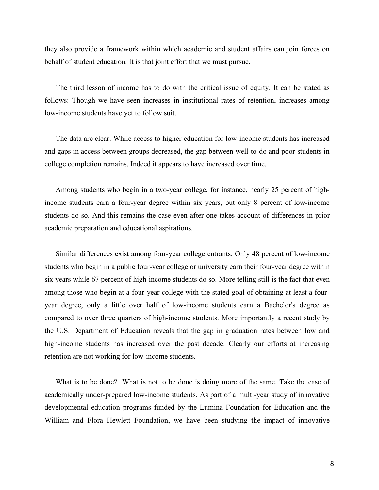they also provide a framework within which academic and student affairs can join forces on behalf of student education. It is that joint effort that we must pursue.

The third lesson of income has to do with the critical issue of equity. It can be stated as follows: Though we have seen increases in institutional rates of retention, increases among low-income students have yet to follow suit.

The data are clear. While access to higher education for low-income students has increased and gaps in access between groups decreased, the gap between well-to-do and poor students in college completion remains. Indeed it appears to have increased over time.

Among students who begin in a two-year college, for instance, nearly 25 percent of highincome students earn a four-year degree within six years, but only 8 percent of low-income students do so. And this remains the case even after one takes account of differences in prior academic preparation and educational aspirations.

Similar differences exist among four-year college entrants. Only 48 percent of low-income students who begin in a public four-year college or university earn their four-year degree within six years while 67 percent of high-income students do so. More telling still is the fact that even among those who begin at a four-year college with the stated goal of obtaining at least a fouryear degree, only a little over half of low-income students earn a Bachelor's degree as compared to over three quarters of high-income students. More importantly a recent study by the U.S. Department of Education reveals that the gap in graduation rates between low and high-income students has increased over the past decade. Clearly our efforts at increasing retention are not working for low-income students.

What is to be done? What is not to be done is doing more of the same. Take the case of academically under-prepared low-income students. As part of a multi-year study of innovative developmental education programs funded by the Lumina Foundation for Education and the William and Flora Hewlett Foundation, we have been studying the impact of innovative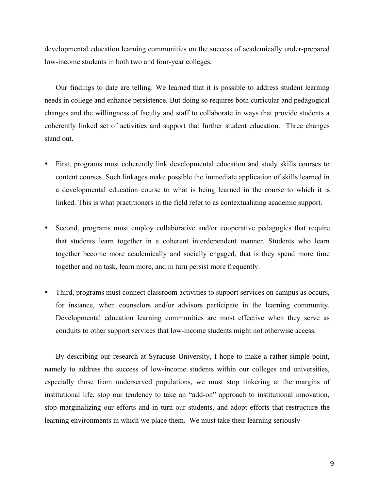developmental education learning communities on the success of academically under-prepared low-income students in both two and four-year colleges.

Our findings to date are telling. We learned that it is possible to address student learning needs in college and enhance persistence. But doing so requires both curricular and pedagogical changes and the willingness of faculty and staff to collaborate in ways that provide students a coherently linked set of activities and support that further student education. Three changes stand out.

- First, programs must coherently link developmental education and study skills courses to content courses. Such linkages make possible the immediate application of skills learned in a developmental education course to what is being learned in the course to which it is linked. This is what practitioners in the field refer to as contextualizing academic support.
- Second, programs must employ collaborative and/or cooperative pedagogies that require that students learn together in a coherent interdependent manner. Students who learn together become more academically and socially engaged, that is they spend more time together and on task, learn more, and in turn persist more frequently.
- Third, programs must connect classroom activities to support services on campus as occurs, for instance, when counselors and/or advisors participate in the learning community. Developmental education learning communities are most effective when they serve as conduits to other support services that low-income students might not otherwise access.

By describing our research at Syracuse University, I hope to make a rather simple point, namely to address the success of low-income students within our colleges and universities, especially those from underserved populations, we must stop tinkering at the margins of institutional life, stop our tendency to take an "add-on" approach to institutional innovation, stop marginalizing our efforts and in turn our students, and adopt efforts that restructure the learning environments in which we place them. We must take their learning seriously